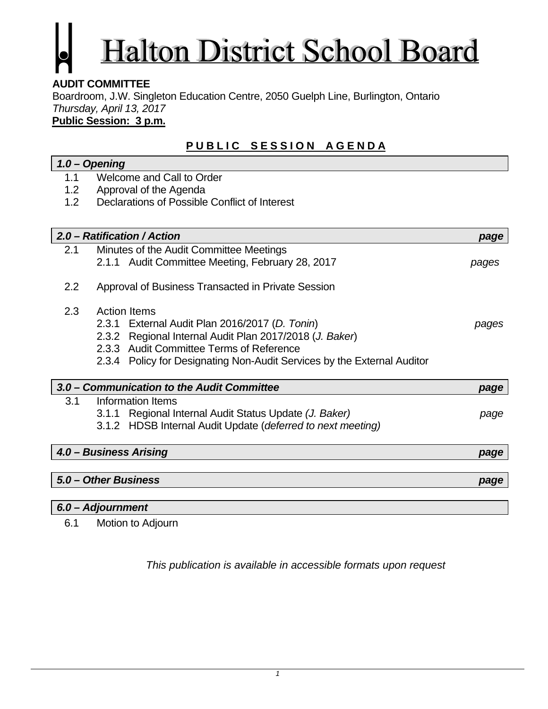# Halton District School Board

## **AUDIT COMMITTEE**

Boardroom, J.W. Singleton Education Centre, 2050 Guelph Line, Burlington, Ontario *Thursday, April 13, 2017* 

**Public Session: 3 p.m.**

## **PUBLIC SESSION AGENDA**

## *1.0 – Opening*  1.1 Welcome and Call to Order

- 
- 1.2 Approval of the Agenda
- 1.2 Declarations of Possible Conflict of Interest

|                        | 2.0 – Ratification / Action                                             | page  |
|------------------------|-------------------------------------------------------------------------|-------|
| 2.1                    | Minutes of the Audit Committee Meetings                                 |       |
|                        | 2.1.1 Audit Committee Meeting, February 28, 2017                        | pages |
| 2.2                    | Approval of Business Transacted in Private Session                      |       |
| 2.3                    | <b>Action Items</b>                                                     |       |
|                        | 2.3.1 External Audit Plan 2016/2017 (D. Tonin)                          | pages |
|                        | 2.3.2 Regional Internal Audit Plan 2017/2018 (J. Baker)                 |       |
|                        | 2.3.3 Audit Committee Terms of Reference                                |       |
|                        | 2.3.4 Policy for Designating Non-Audit Services by the External Auditor |       |
|                        |                                                                         |       |
|                        | 3.0 – Communication to the Audit Committee                              | page  |
| 3.1                    | Information Items                                                       |       |
|                        | 3.1.1 Regional Internal Audit Status Update (J. Baker)                  | page  |
|                        | 3.1.2 HDSB Internal Audit Update (deferred to next meeting)             |       |
| 4.0 - Business Arising |                                                                         | page  |
|                        |                                                                         |       |
|                        | 5.0 – Other Business                                                    | page  |
|                        |                                                                         |       |

## *6.0 – Adjournment*

6.1 Motion to Adjourn

*This publication is available in accessible formats upon request*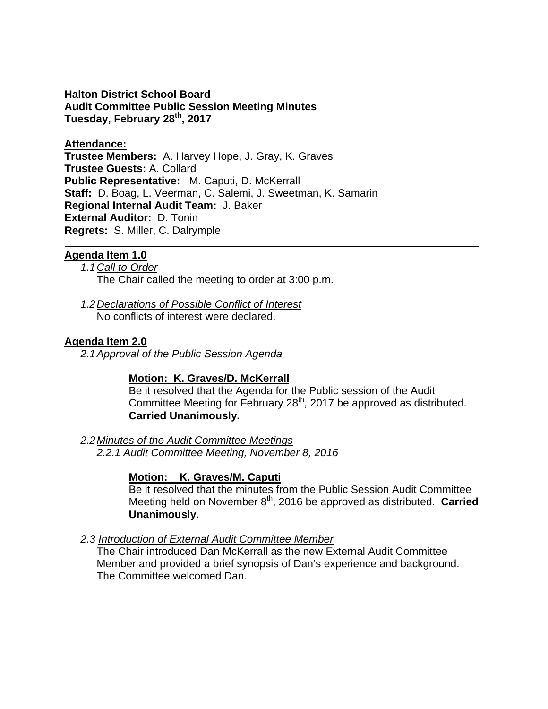**Halton District School Board Audit Committee Public Session Meeting Minutes Tuesday, February 28th, 2017** 

## **Attendance:**

**Trustee Members:** A. Harvey Hope, J. Gray, K. Graves **Trustee Guests:** A. Collard **Public Representative:** M. Caputi, D. McKerrall **Staff:** D. Boag, L. Veerman, C. Salemi, J. Sweetman, K. Samarin **Regional Internal Audit Team:** J. Baker **External Auditor:** D. Tonin **Regrets:** S. Miller, C. Dalrymple

## **Agenda Item 1.0**

- *1.1 Call to Order*  The Chair called the meeting to order at 3:00 p.m.
- *1.2 Declarations of Possible Conflict of Interest*  No conflicts of interest were declared.

## **Agenda Item 2.0**

*2.1 Approval of the Public Session Agenda* 

## **Motion: K. Graves/D. McKerrall**

Be it resolved that the Agenda for the Public session of the Audit Committee Meeting for February  $28<sup>th</sup>$ , 2017 be approved as distributed. **Carried Unanimously.** 

## *2.2 Minutes of the Audit Committee Meetings*

*2.2.1 Audit Committee Meeting, November 8, 2016* 

## **Motion: K. Graves/M. Caputi**

Be it resolved that the minutes from the Public Session Audit Committee Meeting held on November 8<sup>th</sup>, 2016 be approved as distributed. **Carried Unanimously.** 

## *2.3 Introduction of External Audit Committee Member*

The Chair introduced Dan McKerrall as the new External Audit Committee Member and provided a brief synopsis of Dan's experience and background. The Committee welcomed Dan.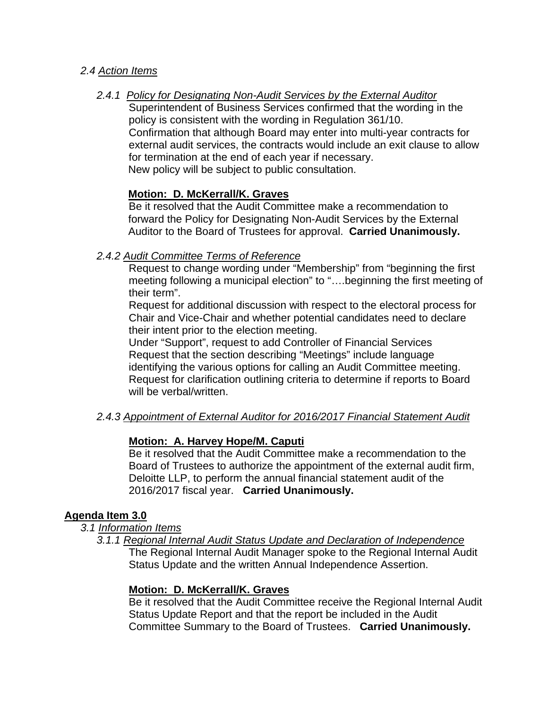## *2.4 Action Items*

*2.4.1 Policy for Designating Non-Audit Services by the External Auditor* 

Superintendent of Business Services confirmed that the wording in the policy is consistent with the wording in Regulation 361/10. Confirmation that although Board may enter into multi-year contracts for external audit services, the contracts would include an exit clause to allow for termination at the end of each year if necessary. New policy will be subject to public consultation.

## **Motion: D. McKerrall/K. Graves**

Be it resolved that the Audit Committee make a recommendation to forward the Policy for Designating Non-Audit Services by the External Auditor to the Board of Trustees for approval. **Carried Unanimously.** 

## *2.4.2 Audit Committee Terms of Reference*

Request to change wording under "Membership" from "beginning the first meeting following a municipal election" to "….beginning the first meeting of their term".

Request for additional discussion with respect to the electoral process for Chair and Vice-Chair and whether potential candidates need to declare their intent prior to the election meeting.

Under "Support", request to add Controller of Financial Services Request that the section describing "Meetings" include language identifying the various options for calling an Audit Committee meeting. Request for clarification outlining criteria to determine if reports to Board will be verbal/written.

## *2.4.3 Appointment of External Auditor for 2016/2017 Financial Statement Audit*

## **Motion: A. Harvey Hope/M. Caputi**

Be it resolved that the Audit Committee make a recommendation to the Board of Trustees to authorize the appointment of the external audit firm, Deloitte LLP, to perform the annual financial statement audit of the 2016/2017 fiscal year. **Carried Unanimously.** 

## **Agenda Item 3.0**

- *3.1 Information Items* 
	- *3.1.1 Regional Internal Audit Status Update and Declaration of Independence*  The Regional Internal Audit Manager spoke to the Regional Internal Audit Status Update and the written Annual Independence Assertion.

## **Motion: D. McKerrall/K. Graves**

Be it resolved that the Audit Committee receive the Regional Internal Audit Status Update Report and that the report be included in the Audit Committee Summary to the Board of Trustees. **Carried Unanimously.**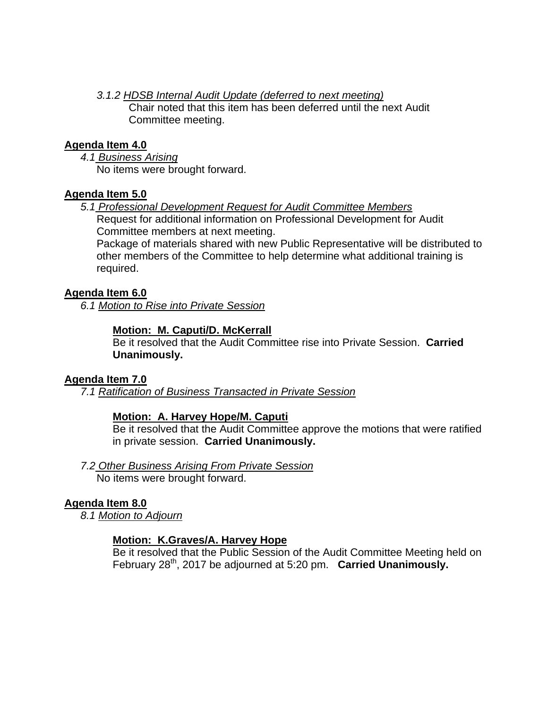*3.1.2 HDSB Internal Audit Update (deferred to next meeting)* 

Chair noted that this item has been deferred until the next Audit Committee meeting.

## **Agenda Item 4.0**

*4.1 Business Arising*  No items were brought forward.

## **Agenda Item 5.0**

*5.1 Professional Development Request for Audit Committee Members*  Request for additional information on Professional Development for Audit Committee members at next meeting.

Package of materials shared with new Public Representative will be distributed to other members of the Committee to help determine what additional training is required.

## **Agenda Item 6.0**

*6.1 Motion to Rise into Private Session* 

## **Motion: M. Caputi/D. McKerrall**

Be it resolved that the Audit Committee rise into Private Session. **Carried Unanimously.** 

## **Agenda Item 7.0**

*7.1 Ratification of Business Transacted in Private Session* 

## **Motion: A. Harvey Hope/M. Caputi**

Be it resolved that the Audit Committee approve the motions that were ratified in private session. **Carried Unanimously.** 

*7.2 Other Business Arising From Private Session* 

No items were brought forward.

## **Agenda Item 8.0**

*8.1 Motion to Adjourn* 

## **Motion: K.Graves/A. Harvey Hope**

Be it resolved that the Public Session of the Audit Committee Meeting held on February 28th, 2017 be adjourned at 5:20 pm. **Carried Unanimously.**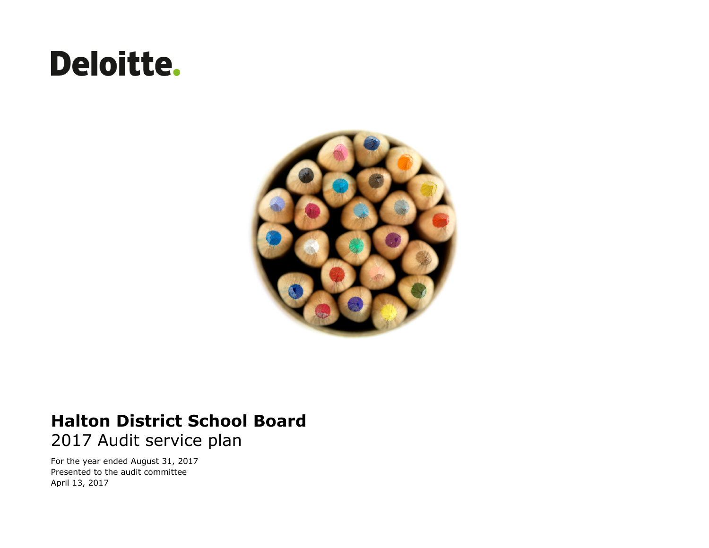# **Deloitte.**



## **Halton District School Board** 2017 Audit service plan

For the year ended August 31, 2017 Presented to the audit committee April 13, 2017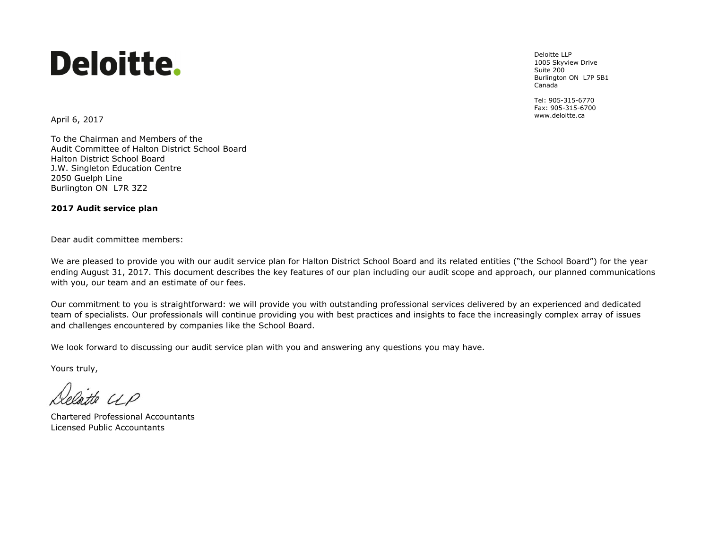# Deloitte.

Deloitte LLP 1005 Skyview Drive Suite 200 Burlington ON L7P 5B1 Canada

Tel: 905-315-6770 Fax: 905-315-6700

www.deloitte.ca April 6, 2017

To the Chairman and Members of the Audit Committee of Halton District School Board Halton District School Board J.W. Singleton Education Centre 2050 Guelph Line Burlington ON L7R 3Z2

#### **2017 Audit service plan**

Dear audit committee members:

We are pleased to provide you with our audit service plan for Halton District School Board and its related entities ("the School Board") for the year ending August 31, 2017. This document describes the key features of our plan including our audit scope and approach, our planned communications with you, our team and an estimate of our fees.

Our commitment to you is straightforward: we will provide you with outstanding professional services delivered by an experienced and dedicated team of specialists. Our professionals will continue providing you with best practices and insights to face the increasingly complex array of issues and challenges encountered by companies like the School Board.

We look forward to discussing our audit service plan with you and answering any questions you may have.

Yours truly,

tte UP

Chartered Professional Accountants Licensed Public Accountants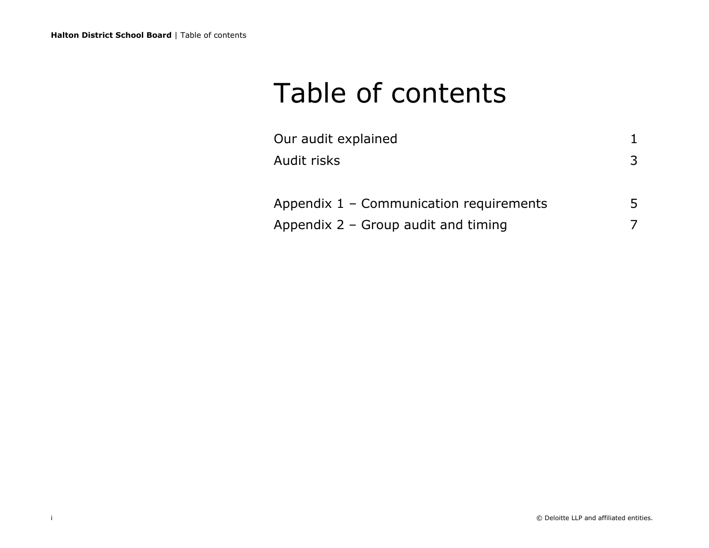## Table of contents

| Our audit explained                     |    |
|-----------------------------------------|----|
| Audit risks                             | 3  |
| Appendix 1 - Communication requirements | 5. |
| Appendix $2 -$ Group audit and timing   |    |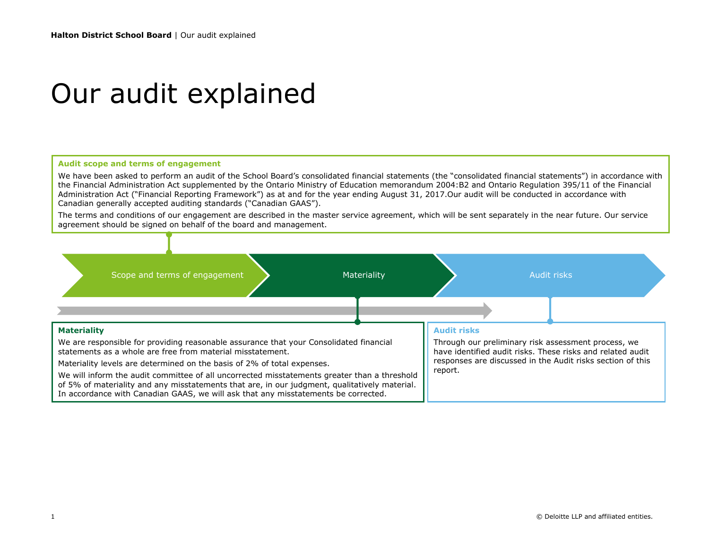## Our audit explained

#### **Audit scope and terms of engagement**

We have been asked to perform an audit of the School Board's consolidated financial statements (the "consolidated financial statements") in accordance with the Financial Administration Act supplemented by the Ontario Ministry of Education memorandum 2004:B2 and Ontario Regulation 395/11 of the Financial Administration Act ("Financial Reporting Framework") as at and for the year ending August 31, 2017.Our audit will be conducted in accordance with Canadian generally accepted auditing standards ("Canadian GAAS").

The terms and conditions of our engagement are described in the master service agreement, which will be sent separately in the near future. Our service agreement should be signed on behalf of the board and management.

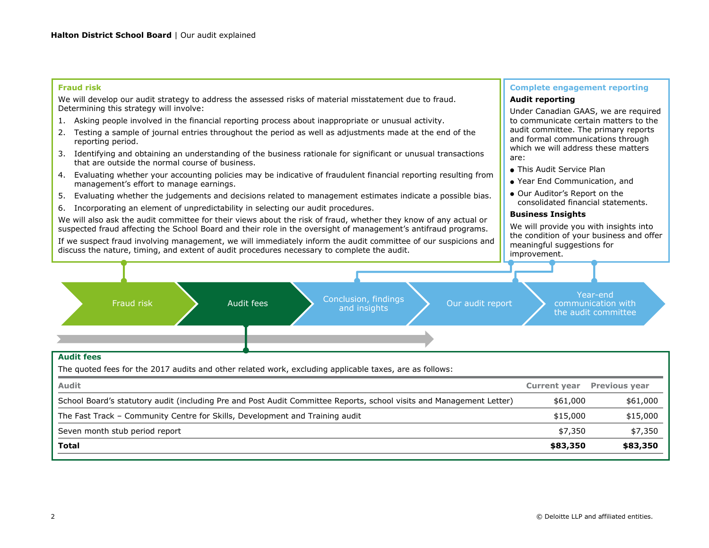#### **Fraud risk**

We will develop our audit strategy to address the assessed risks of material misstatement due to fraud. Determining this strategy will involve:

- 1. Asking people involved in the financial reporting process about inappropriate or unusual activity.
- 2. Testing a sample of journal entries throughout the period as well as adjustments made at the end of the reporting period.
- 3. Identifying and obtaining an understanding of the business rationale for significant or unusual transactions that are outside the normal course of business.
- 4. Evaluating whether your accounting policies may be indicative of fraudulent financial reporting resulting from management's effort to manage earnings.
- 5. Evaluating whether the judgements and decisions related to management estimates indicate a possible bias.
- 6. Incorporating an element of unpredictability in selecting our audit procedures.

We will also ask the audit committee for their views about the risk of fraud, whether they know of any actual or suspected fraud affecting the School Board and their role in the oversight of management's antifraud programs.

If we suspect fraud involving management, we will immediately inform the audit committee of our suspicions and discuss the nature, timing, and extent of audit procedures necessary to complete the audit.

#### **Complete engagement reporting**

#### **Audit reporting**

Under Canadian GAAS, we are required to communicate certain matters to the audit committee. The primary reports and formal communications through which we will address these matters are:

- This Audit Service Plan
- Year End Communication, and
- Our Auditor's Report on the consolidated financial statements.

#### **Business Insights**

We will provide you with insights into the condition of your business and offer meaningful suggestions for improvement.



#### **Audit fees**

The quoted fees for the 2017 audits and other related work, excluding applicable taxes, are as follows:

| <b>Audit</b>                                                                                                         |          | <b>Current year</b> Previous year |
|----------------------------------------------------------------------------------------------------------------------|----------|-----------------------------------|
| School Board's statutory audit (including Pre and Post Audit Committee Reports, school visits and Management Letter) | \$61,000 | \$61,000                          |
| The Fast Track - Community Centre for Skills, Development and Training audit                                         | \$15,000 | \$15,000                          |
| Seven month stub period report                                                                                       | \$7,350  | \$7,350                           |
| Total                                                                                                                | \$83,350 | \$83,350                          |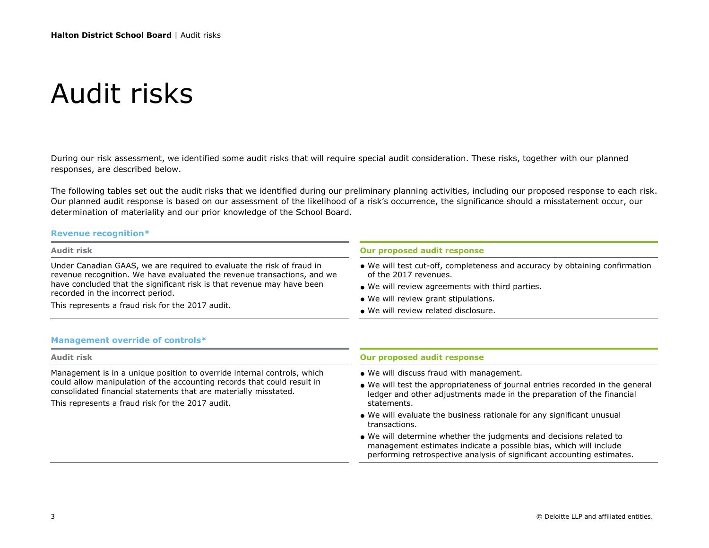## Audit risks

During our risk assessment, we identified some audit risks that will require special audit consideration. These risks, together with our planned responses, are described below.

The following tables set out the audit risks that we identified during our preliminary planning activities, including our proposed response to each risk. Our planned audit response is based on our assessment of the likelihood of a risk's occurrence, the significance should a misstatement occur, our determination of materiality and our prior knowledge of the School Board.

#### **Revenue recognition\***

| Audit risk                                                                                                                                                                                                                                                                                                          | Our proposed audit response                                                                                                                                                                                                                                                                                                                                                                                                                                                                                                      |  |
|---------------------------------------------------------------------------------------------------------------------------------------------------------------------------------------------------------------------------------------------------------------------------------------------------------------------|----------------------------------------------------------------------------------------------------------------------------------------------------------------------------------------------------------------------------------------------------------------------------------------------------------------------------------------------------------------------------------------------------------------------------------------------------------------------------------------------------------------------------------|--|
| Under Canadian GAAS, we are required to evaluate the risk of fraud in<br>revenue recognition. We have evaluated the revenue transactions, and we<br>have concluded that the significant risk is that revenue may have been<br>recorded in the incorrect period.<br>This represents a fraud risk for the 2017 audit. | • We will test cut-off, completeness and accuracy by obtaining confirmation<br>of the 2017 revenues.<br>• We will review agreements with third parties.<br>• We will review grant stipulations.<br>• We will review related disclosure.                                                                                                                                                                                                                                                                                          |  |
| <b>Management override of controls*</b>                                                                                                                                                                                                                                                                             |                                                                                                                                                                                                                                                                                                                                                                                                                                                                                                                                  |  |
| Audit risk                                                                                                                                                                                                                                                                                                          | Our proposed audit response                                                                                                                                                                                                                                                                                                                                                                                                                                                                                                      |  |
| Management is in a unique position to override internal controls, which<br>could allow manipulation of the accounting records that could result in<br>consolidated financial statements that are materially misstated.<br>This represents a fraud risk for the 2017 audit.                                          | • We will discuss fraud with management.<br>• We will test the appropriateness of journal entries recorded in the general<br>ledger and other adjustments made in the preparation of the financial<br>statements.<br>. We will evaluate the business rationale for any significant unusual<br>transactions.<br>• We will determine whether the judgments and decisions related to<br>management estimates indicate a possible bias, which will include<br>performing retrospective analysis of significant accounting estimates. |  |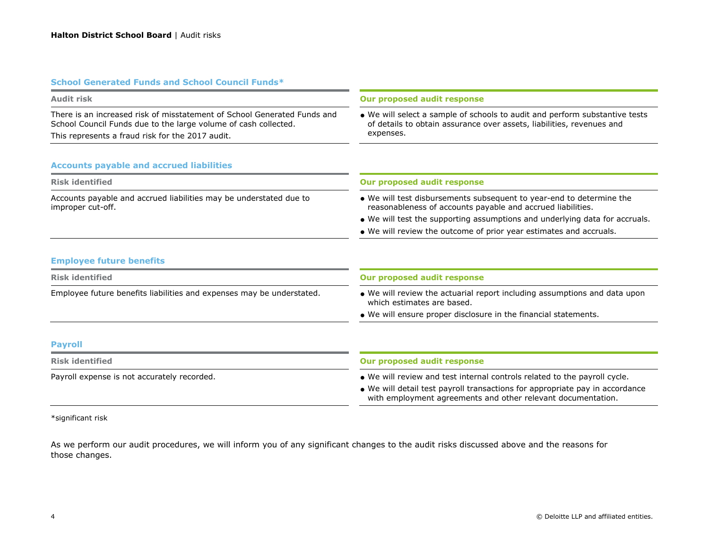#### **School Generated Funds and School Council Funds\***

| Audit risk                                                                                                                                  | Our proposed audit response                                                                                                                                       |  |
|---------------------------------------------------------------------------------------------------------------------------------------------|-------------------------------------------------------------------------------------------------------------------------------------------------------------------|--|
| There is an increased risk of misstatement of School Generated Funds and<br>School Council Funds due to the large volume of cash collected. | • We will select a sample of schools to audit and perform substantive tests<br>of details to obtain assurance over assets, liabilities, revenues and<br>expenses. |  |
| This represents a fraud risk for the 2017 audit.                                                                                            |                                                                                                                                                                   |  |
| <b>Accounts payable and accrued liabilities</b>                                                                                             |                                                                                                                                                                   |  |
| <b>Risk identified</b>                                                                                                                      | Our proposed audit response                                                                                                                                       |  |
| Accounts payable and accrued liabilities may be understated due to<br>improper cut-off.                                                     | • We will test disbursements subsequent to year-end to determine the<br>reasonableness of accounts payable and accrued liabilities.                               |  |
|                                                                                                                                             | • We will test the supporting assumptions and underlying data for accruals.                                                                                       |  |
|                                                                                                                                             | • We will review the outcome of prior year estimates and accruals.                                                                                                |  |
| <b>Employee future benefits</b>                                                                                                             |                                                                                                                                                                   |  |
| <b>Risk identified</b>                                                                                                                      | <b>Our proposed audit response</b>                                                                                                                                |  |

## Employee future benefits liabilities and expenses may be understated. We will review the actuarial report including assumptions and data upon

We will ensure proper disclosure in the financial statements.

which estimates are based.

#### **Payroll**

| Risk identified                             | Our proposed audit response                                                                                                                  |
|---------------------------------------------|----------------------------------------------------------------------------------------------------------------------------------------------|
| Payroll expense is not accurately recorded. | • We will review and test internal controls related to the payroll cycle.                                                                    |
|                                             | • We will detail test payroll transactions for appropriate pay in accordance<br>with employment agreements and other relevant documentation. |

\*significant risk

As we perform our audit procedures, we will inform you of any significant changes to the audit risks discussed above and the reasons for those changes.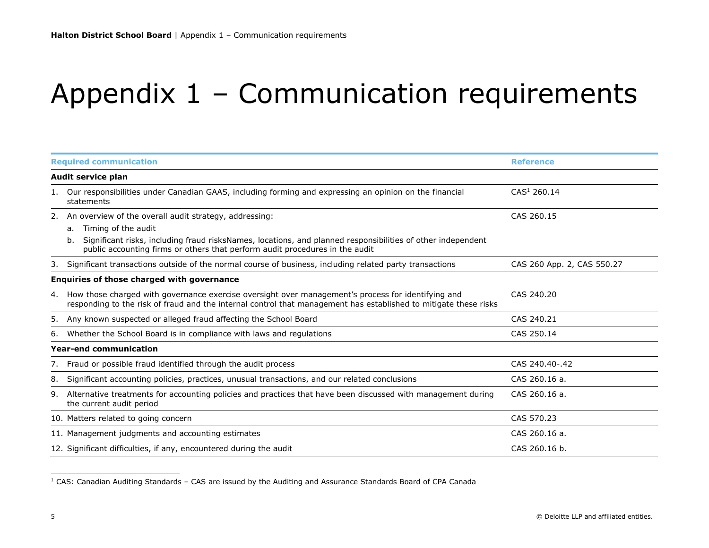# Appendix 1 – Communication requirements

| <b>Required communication</b> |                                                                                                                                                                                                                                                                                          | <b>Reference</b>           |  |
|-------------------------------|------------------------------------------------------------------------------------------------------------------------------------------------------------------------------------------------------------------------------------------------------------------------------------------|----------------------------|--|
|                               | Audit service plan                                                                                                                                                                                                                                                                       |                            |  |
|                               | 1. Our responsibilities under Canadian GAAS, including forming and expressing an opinion on the financial<br>statements                                                                                                                                                                  | CAS <sup>1</sup> 260.14    |  |
| 2.                            | An overview of the overall audit strategy, addressing:<br>Timing of the audit<br>a.<br>Significant risks, including fraud risksNames, locations, and planned responsibilities of other independent<br>b.<br>public accounting firms or others that perform audit procedures in the audit | CAS 260.15                 |  |
|                               | 3. Significant transactions outside of the normal course of business, including related party transactions                                                                                                                                                                               | CAS 260 App. 2, CAS 550.27 |  |
|                               | Enquiries of those charged with governance                                                                                                                                                                                                                                               |                            |  |
| 4.                            | How those charged with governance exercise oversight over management's process for identifying and<br>responding to the risk of fraud and the internal control that management has established to mitigate these risks                                                                   | CAS 240.20                 |  |
| 5.                            | Any known suspected or alleged fraud affecting the School Board                                                                                                                                                                                                                          | CAS 240.21                 |  |
| 6.                            | Whether the School Board is in compliance with laws and regulations                                                                                                                                                                                                                      | CAS 250.14                 |  |
|                               | <b>Year-end communication</b>                                                                                                                                                                                                                                                            |                            |  |
|                               | 7. Fraud or possible fraud identified through the audit process                                                                                                                                                                                                                          | CAS 240.40-.42             |  |
| 8.                            | Significant accounting policies, practices, unusual transactions, and our related conclusions                                                                                                                                                                                            | CAS 260.16 a.              |  |
|                               | 9. Alternative treatments for accounting policies and practices that have been discussed with management during<br>the current audit period                                                                                                                                              | CAS 260.16 a.              |  |
|                               | 10. Matters related to going concern                                                                                                                                                                                                                                                     | CAS 570.23                 |  |
|                               | 11. Management judgments and accounting estimates                                                                                                                                                                                                                                        | CAS 260.16 a.              |  |
|                               | 12. Significant difficulties, if any, encountered during the audit                                                                                                                                                                                                                       | CAS 260.16 b.              |  |

<sup>1</sup> CAS: Canadian Auditing Standards – CAS are issued by the Auditing and Assurance Standards Board of CPA Canada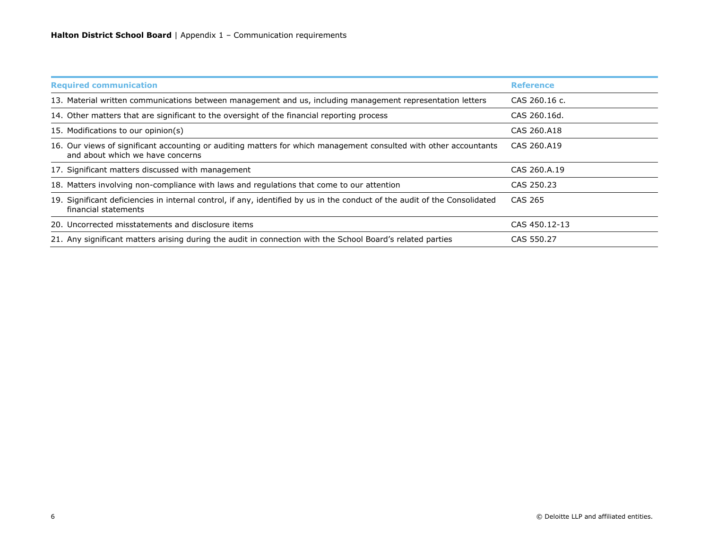| <b>Required communication</b>                                                                                                                         | <b>Reference</b> |
|-------------------------------------------------------------------------------------------------------------------------------------------------------|------------------|
| 13. Material written communications between management and us, including management representation letters                                            | CAS 260.16 c.    |
| 14. Other matters that are significant to the oversight of the financial reporting process                                                            | CAS 260.16d.     |
| 15. Modifications to our opinion(s)                                                                                                                   | CAS 260.A18      |
| 16. Our views of significant accounting or auditing matters for which management consulted with other accountants<br>and about which we have concerns | CAS 260.A19      |
| 17. Significant matters discussed with management                                                                                                     | CAS 260.A.19     |
| 18. Matters involving non-compliance with laws and regulations that come to our attention                                                             | CAS 250.23       |
| 19. Significant deficiencies in internal control, if any, identified by us in the conduct of the audit of the Consolidated<br>financial statements    | CAS 265          |
| 20. Uncorrected misstatements and disclosure items                                                                                                    | CAS 450.12-13    |
| 21. Any significant matters arising during the audit in connection with the School Board's related parties                                            | CAS 550.27       |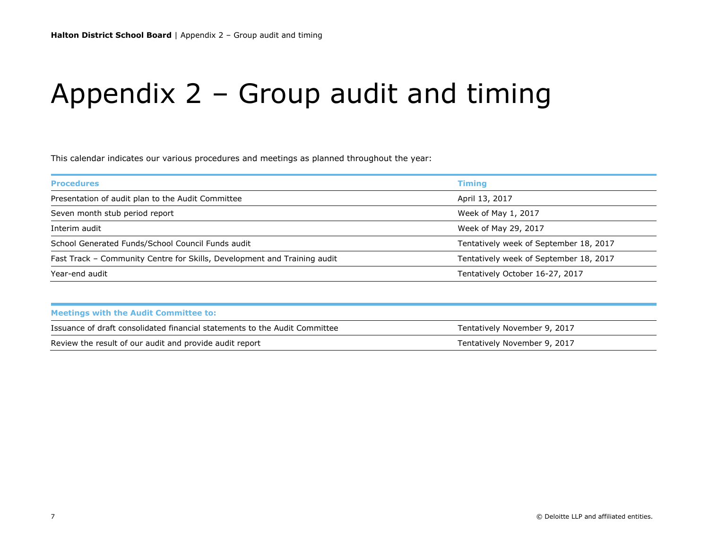# Appendix 2 – Group audit and timing

This calendar indicates our various procedures and meetings as planned throughout the year:

|                                                                          | <b>Timing</b>                          |
|--------------------------------------------------------------------------|----------------------------------------|
| Presentation of audit plan to the Audit Committee                        | April 13, 2017                         |
| Seven month stub period report                                           | Week of May 1, 2017                    |
| Interim audit                                                            | Week of May 29, 2017                   |
| School Generated Funds/School Council Funds audit                        | Tentatively week of September 18, 2017 |
| Fast Track – Community Centre for Skills, Development and Training audit | Tentatively week of September 18, 2017 |
| Year-end audit                                                           | Tentatively October 16-27, 2017        |

| Issuance of draft consolidated financial statements to the Audit Committee | Tentatively November 9, 2017 |
|----------------------------------------------------------------------------|------------------------------|
| Review the result of our audit and provide audit report                    | Tentatively November 9, 2017 |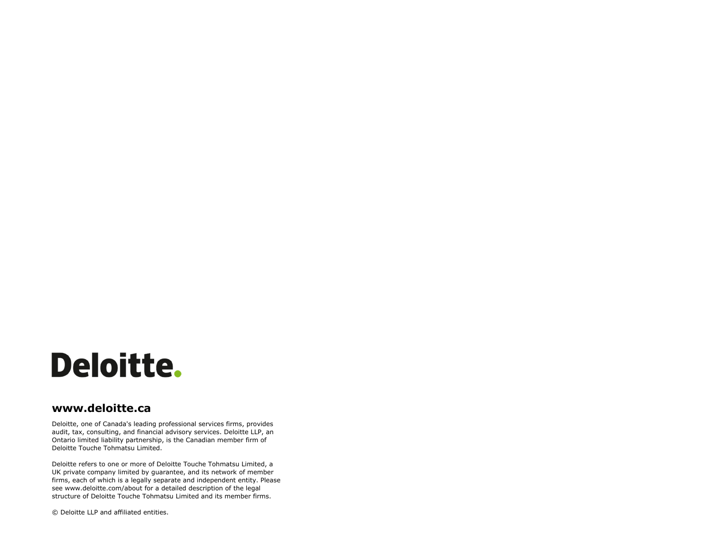

## **www.deloitte.ca**

Deloitte, one of Canada's leading professional services firms, provides audit, tax, consulting, and financial advisory services. Deloitte LLP, an Ontario limited liability partnership, is the Canadian member firm of Deloitte Touche Tohmatsu Limited.

Deloitte refers to one or more of Deloitte Touche Tohmatsu Limited, a UK private company limited by guarantee, and its network of member firms, each of which is a legally separate and independent entity. Please see www.deloitte.com/about for a detailed description of the legal structure of Deloitte Touche Tohmatsu Limited and its member firms.

1 © Deloitte LLP and affiliated entities. © Deloitte LLP and affiliated entities.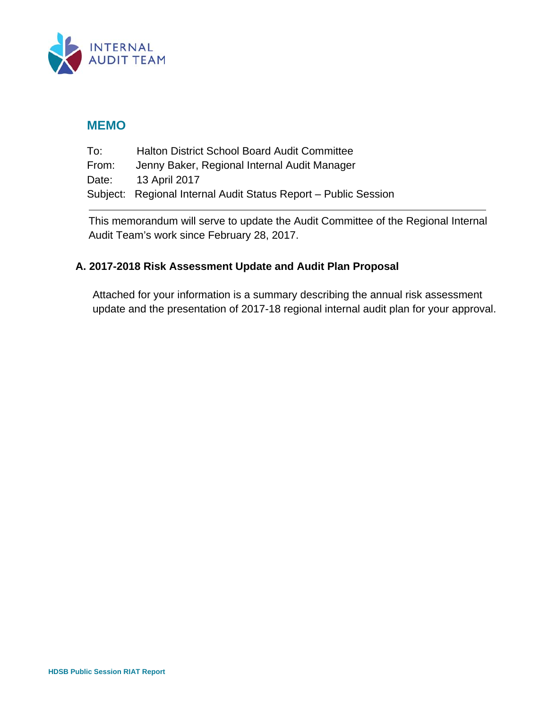

## **MEMO**

| To:   | <b>Halton District School Board Audit Committee</b>             |
|-------|-----------------------------------------------------------------|
| From: | Jenny Baker, Regional Internal Audit Manager                    |
| Date: | 13 April 2017                                                   |
|       | Subject: Regional Internal Audit Status Report - Public Session |

This memorandum will serve to update the Audit Committee of the Regional Internal Audit Team's work since February 28, 2017.

## **A. 2017-2018 Risk Assessment Update and Audit Plan Proposal**

Attached for your information is a summary describing the annual risk assessment update and the presentation of 2017-18 regional internal audit plan for your approval.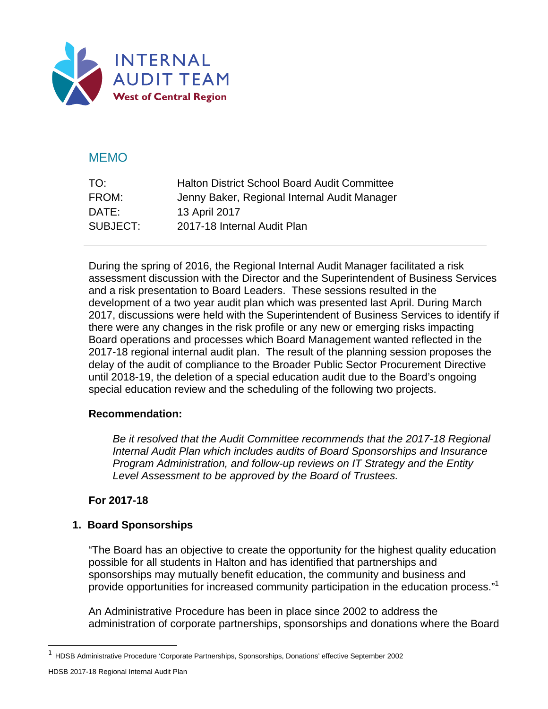

## MEMO

| TO:      | <b>Halton District School Board Audit Committee</b> |
|----------|-----------------------------------------------------|
| FROM:    | Jenny Baker, Regional Internal Audit Manager        |
| DATE:    | 13 April 2017                                       |
| SUBJECT: | 2017-18 Internal Audit Plan                         |

During the spring of 2016, the Regional Internal Audit Manager facilitated a risk assessment discussion with the Director and the Superintendent of Business Services and a risk presentation to Board Leaders. These sessions resulted in the development of a two year audit plan which was presented last April. During March 2017, discussions were held with the Superintendent of Business Services to identify if there were any changes in the risk profile or any new or emerging risks impacting Board operations and processes which Board Management wanted reflected in the 2017-18 regional internal audit plan. The result of the planning session proposes the delay of the audit of compliance to the Broader Public Sector Procurement Directive until 2018-19, the deletion of a special education audit due to the Board's ongoing special education review and the scheduling of the following two projects.

## **Recommendation:**

*Be it resolved that the Audit Committee recommends that the 2017-18 Regional Internal Audit Plan which includes audits of Board Sponsorships and Insurance Program Administration, and follow-up reviews on IT Strategy and the Entity Level Assessment to be approved by the Board of Trustees.* 

## **For 2017-18**

## **1. Board Sponsorships**

 "The Board has an objective to create the opportunity for the highest quality education possible for all students in Halton and has identified that partnerships and sponsorships may mutually benefit education, the community and business and provide opportunities for increased community participation in the education process."<sup>1</sup>

 An Administrative Procedure has been in place since 2002 to address the administration of corporate partnerships, sponsorships and donations where the Board

-

<sup>&</sup>lt;sup>1</sup> HDSB Administrative Procedure 'Corporate Partnerships, Sponsorships, Donations' effective September 2002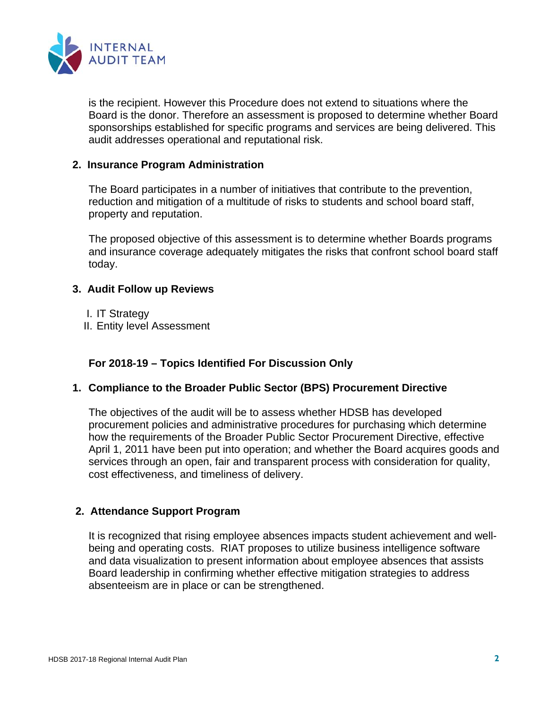

is the recipient. However this Procedure does not extend to situations where the Board is the donor. Therefore an assessment is proposed to determine whether Board sponsorships established for specific programs and services are being delivered. This audit addresses operational and reputational risk.

## **2. Insurance Program Administration**

The Board participates in a number of initiatives that contribute to the prevention, reduction and mitigation of a multitude of risks to students and school board staff, property and reputation.

The proposed objective of this assessment is to determine whether Boards programs and insurance coverage adequately mitigates the risks that confront school board staff today.

## **3. Audit Follow up Reviews**

- I. IT Strategy
- II. Entity level Assessment

## **For 2018-19 – Topics Identified For Discussion Only**

## **1. Compliance to the Broader Public Sector (BPS) Procurement Directive**

The objectives of the audit will be to assess whether HDSB has developed procurement policies and administrative procedures for purchasing which determine how the requirements of the Broader Public Sector Procurement Directive, effective April 1, 2011 have been put into operation; and whether the Board acquires goods and services through an open, fair and transparent process with consideration for quality, cost effectiveness, and timeliness of delivery.

## **2. Attendance Support Program**

It is recognized that rising employee absences impacts student achievement and wellbeing and operating costs. RIAT proposes to utilize business intelligence software and data visualization to present information about employee absences that assists Board leadership in confirming whether effective mitigation strategies to address absenteeism are in place or can be strengthened.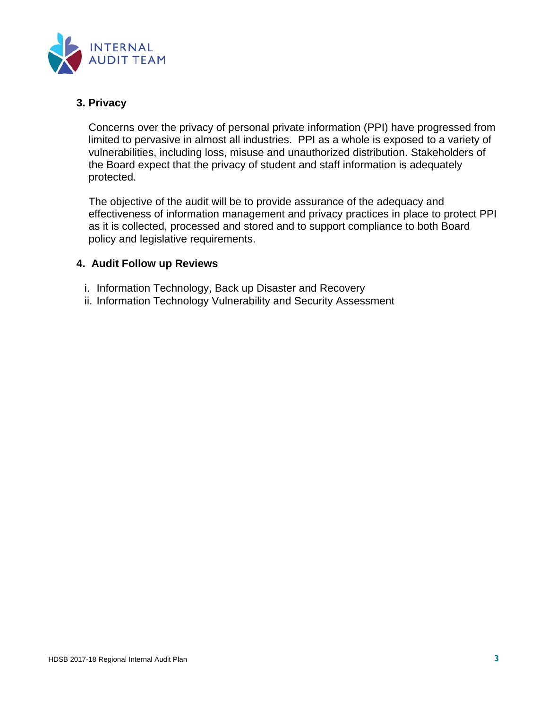

## **3. Privacy**

Concerns over the privacy of personal private information (PPI) have progressed from limited to pervasive in almost all industries. PPI as a whole is exposed to a variety of vulnerabilities, including loss, misuse and unauthorized distribution. Stakeholders of the Board expect that the privacy of student and staff information is adequately protected.

The objective of the audit will be to provide assurance of the adequacy and effectiveness of information management and privacy practices in place to protect PPI as it is collected, processed and stored and to support compliance to both Board policy and legislative requirements.

## **4. Audit Follow up Reviews**

- i. Information Technology, Back up Disaster and Recovery
- ii. Information Technology Vulnerability and Security Assessment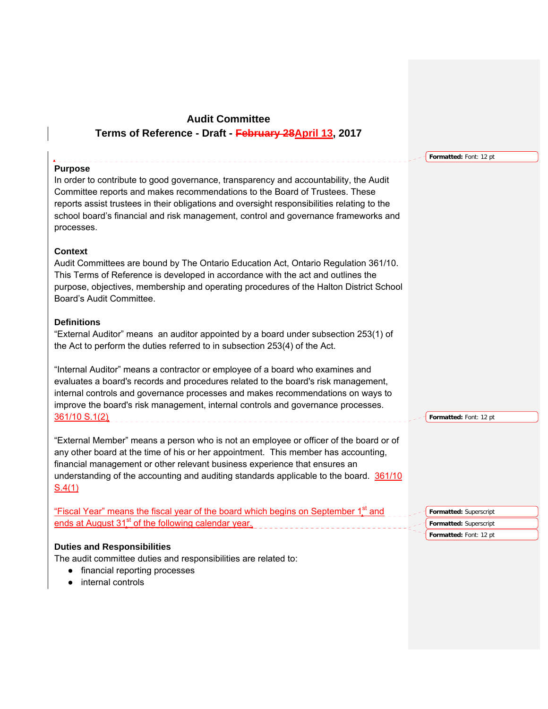## **Audit Committee Terms of Reference - Draft - February 28April 13, 2017**

#### **Purpose**

In order to contribute to good governance, transparency and accountability, the Audit Committee reports and makes recommendations to the Board of Trustees. These reports assist trustees in their obligations and oversight responsibilities relating to the school board's financial and risk management, control and governance frameworks and processes.

#### **Context**

Audit Committees are bound by The Ontario Education Act, Ontario Regulation 361/10. This Terms of Reference is developed in accordance with the act and outlines the purpose, objectives, membership and operating procedures of the Halton District School Board's Audit Committee.

#### **Definitions**

"External Auditor" means an auditor appointed by a board under subsection 253(1) of the Act to perform the duties referred to in subsection 253(4) of the Act.

"Internal Auditor" means a contractor or employee of a board who examines and evaluates a board's records and procedures related to the board's risk management, internal controls and governance processes and makes recommendations on ways to improve the board's risk management, internal controls and governance processes. 361/10 S.1(2)

"External Member" means a person who is not an employee or officer of the board or of any other board at the time of his or her appointment. This member has accounting, financial management or other relevant business experience that ensures an understanding of the accounting and auditing standards applicable to the board. 361/10  $S.4(1)$ 

| 'Fiscal Year" means the fiscal vear of the board which begins on September $\overline{\ }$<br>and | <b>Formatted:</b> Superscript |
|---------------------------------------------------------------------------------------------------|-------------------------------|
| ends at August 31 <sup>st</sup> of the following calendar year.                                   | <b>Formatted:</b> Superscript |
|                                                                                                   | <b>Formatted:</b> Font: 12 nt |

#### **Duties and Responsibilities**

The audit committee duties and responsibilities are related to:

- financial reporting processes
- internal controls

**Formatted:** Font: 12 pt

**Formatted:** Font: 12 pt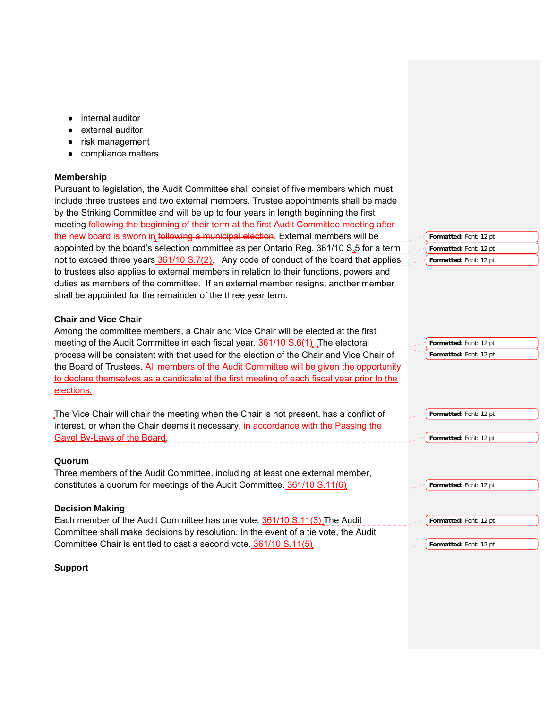- internal auditor
- external auditor
- risk management
- compliance matters

#### **Membership**

Pursuant to legislation, the Audit Committee shall consist of five members which must include three trustees and two external members. Trustee appointments shall be made by the Striking Committee and will be up to four years in length beginning the first meeting following the beginning of their term at the first Audit Committee meeting after the new board is sworn in following a municipal election. External members will be appointed by the board's selection committee as per Ontario Reg. 361/10 S<sub>2</sub>5 for a term not to exceed three years  $361/10 S.7(2)$ . Any code of conduct of the board that applies to trustees also applies to external members in relation to their functions, powers and duties as members of the committee. If an external member resigns, another member shall be appointed for the remainder of the three year term. **Formatted:** Font: 12 pt **Formatted:** Font: 12 pt **Formatted:** Font: 12 pt

#### **Chair and Vice Chair**

| Among the committee members, a Chair and Vice Chair will be elected at the first<br>meeting of the Audit Committee in each fiscal year. 361/10 S.6(1). The electoral<br>process will be consistent with that used for the election of the Chair and Vice Chair of<br>the Board of Trustees. All members of the Audit Committee will be given the opportunity<br>to declare themselves as a candidate at the first meeting of each fiscal year prior to the<br>elections. | Formatted: Font: 12 pt<br>Formatted: Font: 12 pt |
|--------------------------------------------------------------------------------------------------------------------------------------------------------------------------------------------------------------------------------------------------------------------------------------------------------------------------------------------------------------------------------------------------------------------------------------------------------------------------|--------------------------------------------------|
| The Vice Chair will chair the meeting when the Chair is not present, has a conflict of<br>interest, or when the Chair deems it necessary, in accordance with the Passing the                                                                                                                                                                                                                                                                                             | Formatted: Font: 12 pt                           |
| Gavel By-Laws of the Board.                                                                                                                                                                                                                                                                                                                                                                                                                                              | Formatted: Font: 12 pt                           |
| Quorum                                                                                                                                                                                                                                                                                                                                                                                                                                                                   |                                                  |
| Three members of the Audit Committee, including at least one external member,                                                                                                                                                                                                                                                                                                                                                                                            |                                                  |
| constitutes a quorum for meetings of the Audit Committee. 361/10 S.11(6)                                                                                                                                                                                                                                                                                                                                                                                                 | Formatted: Font: 12 pt                           |
| <b>Decision Making</b>                                                                                                                                                                                                                                                                                                                                                                                                                                                   |                                                  |
| Each member of the Audit Committee has one vote. 361/10 S.11(3) The Audit                                                                                                                                                                                                                                                                                                                                                                                                | Formatted: Font: 12 pt                           |
| Committee shall make decisions by resolution. In the event of a tie vote, the Audit                                                                                                                                                                                                                                                                                                                                                                                      |                                                  |
| Committee Chair is entitled to cast a second vote. 361/10 S.11(5)                                                                                                                                                                                                                                                                                                                                                                                                        | Formatted: Font: 12 pt                           |

**Support**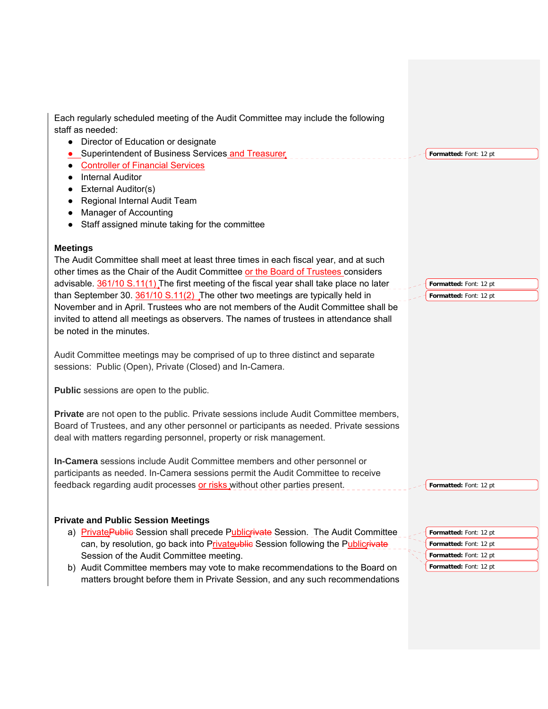Each regularly scheduled meeting of the Audit Committee may include the following staff as needed:

- Director of Education or designate
- Superintendent of Business Services and Treasurer
- **Formatted:** Font: 12 pt
- Controller of Financial Services
- Internal Auditor
- External Auditor(s)
- Regional Internal Audit Team
- Manager of Accounting
- Staff assigned minute taking for the committee

#### **Meetings**

The Audit Committee shall meet at least three times in each fiscal year, and at such other times as the Chair of the Audit Committee or the Board of Trustees considers advisable. 361/10 S.11(1). The first meeting of the fiscal year shall take place no later than September 30.  $361/10 S.11(2)$ . The other two meetings are typically held in November and in April. Trustees who are not members of the Audit Committee shall be invited to attend all meetings as observers. The names of trustees in attendance shall be noted in the minutes.

Audit Committee meetings may be comprised of up to three distinct and separate sessions: Public (Open), Private (Closed) and In-Camera.

**Public** sessions are open to the public.

**Private** are not open to the public. Private sessions include Audit Committee members, Board of Trustees, and any other personnel or participants as needed. Private sessions deal with matters regarding personnel, property or risk management.

**In-Camera** sessions include Audit Committee members and other personnel or participants as needed. In-Camera sessions permit the Audit Committee to receive feedback regarding audit processes or risks without other parties present.

#### **Private and Public Session Meetings**

- a) Private Public Session shall precede Publicrivate Session. The Audit Committee can, by resolution, go back into Privateublic Session following the Publicrivat Session of the Audit Committee meeting.
- b) Audit Committee members may vote to make recommendations to the Board on matters brought before them in Private Session, and any such recommendations

**Formatted:** Font: 12 pt **Formatted:** Font: 12 pt

**Formatted:** Font: 12 pt

| Formatted: Font: 12 pt |
|------------------------|
| Formatted: Font: 12 pt |
| Formatted: Font: 12 pt |
| Formatted: Font: 12 pt |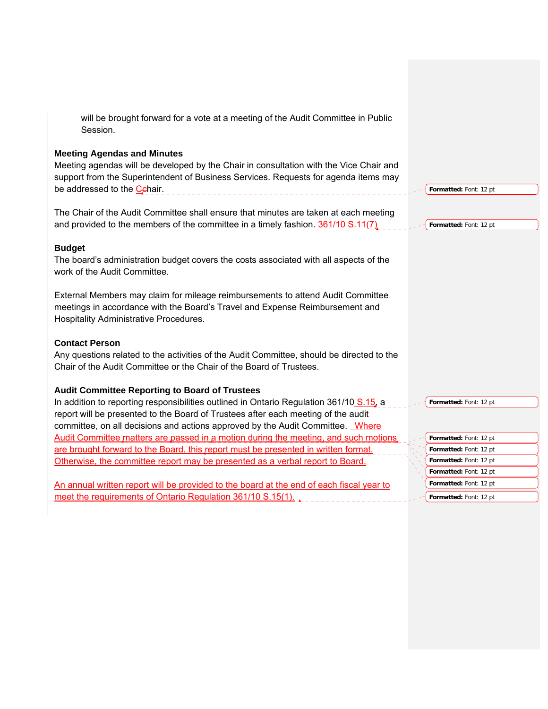will be brought forward for a vote at a meeting of the Audit Committee in Public Session.

#### **Meeting Agendas and Minutes**

Meeting agendas will be developed by the Chair in consultation with the Vice Chair and support from the Superintendent of Business Services. Requests for agenda items may be addressed to the Cehair.

The Chair of the Audit Committee shall ensure that minutes are taken at each meeting and provided to the members of the committee in a timely fashion. 361/10 S.11(7)

#### **Budget**

The board's administration budget covers the costs associated with all aspects of the work of the Audit Committee.

External Members may claim for mileage reimbursements to attend Audit Committee meetings in accordance with the Board's Travel and Expense Reimbursement and Hospitality Administrative Procedures.

#### **Contact Person**

Any questions related to the activities of the Audit Committee, should be directed to the Chair of the Audit Committee or the Chair of the Board of Trustees.

## **Audit Committee Reporting to Board of Trustees**

In addition to reporting responsibilities outlined in Ontario Regulation 361/10 S.15, a report will be presented to the Board of Trustees after each meeting of the audit committee, on all decisions and actions approved by the Audit Committee. Where Audit Committee matters are passed in a motion during the meeting, and such motions are brought forward to the Board, this report must be presented in written format. Otherwise, the committee report may be presented as a verbal report to Board.

An annual written report will be provided to the board at the end of each fiscal year to meet the requirements of Ontario Regulation 361/10 S.15(1).

**Formatted:** Font: 12 pt

**Formatted:** Font: 12 pt

**Formatted:** Font: 12 pt

| Formatted: Font: 12 pt |
|------------------------|
| Formatted: Font: 12 pt |
| Formatted: Font: 12 pt |
| Formatted: Font: 12 pt |
| Formatted: Font: 12 pt |
| Formatted: Font: 12 pt |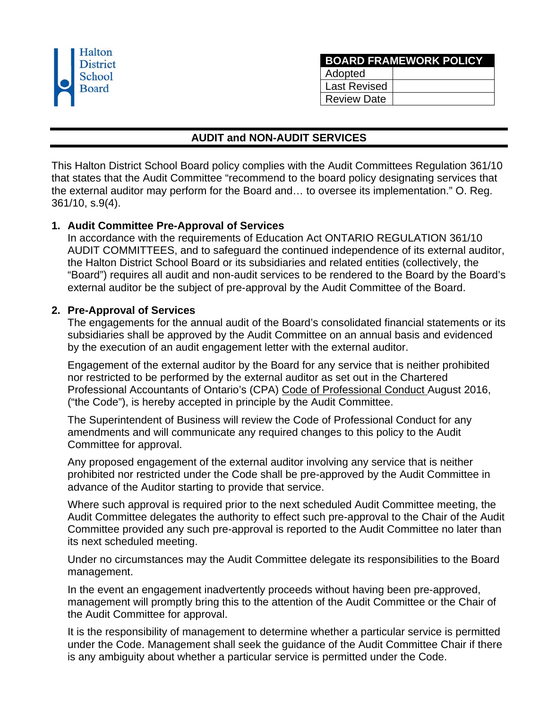| Halton<br><b>District</b><br>School<br><b>Board</b> |
|-----------------------------------------------------|
|                                                     |

| <b>BOARD FRAMEWORK POLICY</b> |  |  |  |  |
|-------------------------------|--|--|--|--|
| Adopted                       |  |  |  |  |
| <b>Last Revised</b>           |  |  |  |  |
| Review Date                   |  |  |  |  |

## **AUDIT and NON-AUDIT SERVICES**

This Halton District School Board policy complies with the Audit Committees Regulation 361/10 that states that the Audit Committee "recommend to the board policy designating services that the external auditor may perform for the Board and… to oversee its implementation." O. Reg. 361/10, s.9(4).

## **1. Audit Committee Pre-Approval of Services**

In accordance with the requirements of Education Act ONTARIO REGULATION 361/10 AUDIT COMMITTEES, and to safeguard the continued independence of its external auditor, the Halton District School Board or its subsidiaries and related entities (collectively, the "Board") requires all audit and non-audit services to be rendered to the Board by the Board's external auditor be the subject of pre-approval by the Audit Committee of the Board.

## **2. Pre-Approval of Services**

The engagements for the annual audit of the Board's consolidated financial statements or its subsidiaries shall be approved by the Audit Committee on an annual basis and evidenced by the execution of an audit engagement letter with the external auditor.

Engagement of the external auditor by the Board for any service that is neither prohibited nor restricted to be performed by the external auditor as set out in the Chartered Professional Accountants of Ontario's (CPA) Code of Professional Conduct August 2016, ("the Code"), is hereby accepted in principle by the Audit Committee.

The Superintendent of Business will review the Code of Professional Conduct for any amendments and will communicate any required changes to this policy to the Audit Committee for approval.

Any proposed engagement of the external auditor involving any service that is neither prohibited nor restricted under the Code shall be pre-approved by the Audit Committee in advance of the Auditor starting to provide that service.

Where such approval is required prior to the next scheduled Audit Committee meeting, the Audit Committee delegates the authority to effect such pre-approval to the Chair of the Audit Committee provided any such pre-approval is reported to the Audit Committee no later than its next scheduled meeting.

Under no circumstances may the Audit Committee delegate its responsibilities to the Board management.

In the event an engagement inadvertently proceeds without having been pre-approved, management will promptly bring this to the attention of the Audit Committee or the Chair of the Audit Committee for approval.

It is the responsibility of management to determine whether a particular service is permitted under the Code. Management shall seek the guidance of the Audit Committee Chair if there is any ambiguity about whether a particular service is permitted under the Code.